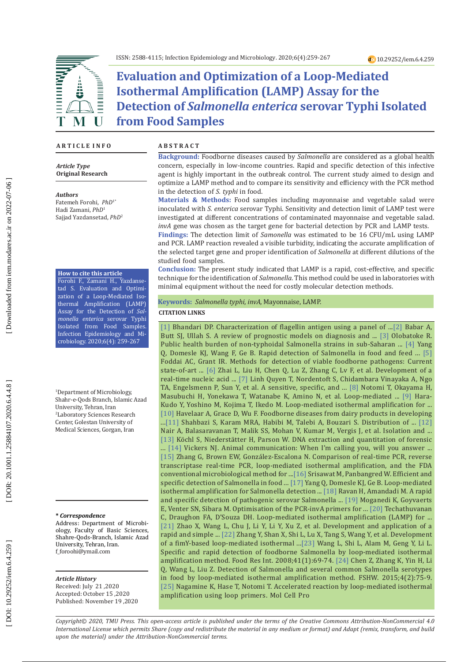

**Evaluation and Optimization of a Loop-Mediated Isothermal Amplification (LAMP) Assay for the Detection of** *Salmonella enterica* **serovar Typhi Isolated from Food Samples** 

### **A R T I C L E I N F O**

*Article Type* **Original Research**

#### *Authors*

Fatemeh Forohi, *PhD*1\* Hadi Zamani, *PhD* 1 Sajjad Yazdansetad, *PhD* 2

### **How to cite this article**

Forohi F., Zamani H., Yazdanse tad S. Evaluation and Optimi zation of a Loop-Mediated Iso thermal Amplification (LAMP) Assay for the Detection of *Sal monella enterica* serovar Typhi Isolated from Food Samples. Infection Epidemiology and Mi crobiology. 2020;6(4): 259-267

1 Department of Microbiology, Shahr-e-Qods Branch, Islamic Azad University, Tehran, Iran 2 Laboratory Sciences Research Center, Golestan University of Medical Sciences, Gorgan, Iran

#### **\*** *Correspondence*

Address: Department of Microbi ology, Faculty of Basic Sciences, Shahre-Qods-Branch, Islamic Azad University, Tehran, Iran. [f\\_foroohi@ymail.com](mailto:f_foroohi@ymail.com)

#### *Article History*

Received: July 21 ,2020 Accepted: October 15 ,2020 Published: November 19 ,2020

### **A B S T R A C T**

**Background:** Foodborne diseases caused by *Salmonella* are considered as a global health concern, especially in low-income countries. Rapid and specific detection of this infective agent is highly important in the outbreak control. The current study aimed to design and optimize a LAMP method and to compare its sensitivity and efficiency with the PCR method in the detection of *S. typhi* in food.

**Materials & Methods:** Food samples including mayonnaise and vegetable salad were inoculated with *S. enterica* serovar Typhi. Sensitivity and detection limit of LAMP test were investigated at different concentrations of contaminated mayonnaise and vegetable salad. *invA* gene was chosen as the target gene for bacterial detection by PCR and LAMP tests.

**Findings:** The detection limit of *Samonella* was estimated to be 16 CFU/mL using LAMP and PCR. LAMP reaction revealed a visible turbidity, indicating the accurate amplification of the selected target gene and proper identification of *Salmonella* at different dilutions of the studied food samples.

**Conclusion:** The present study indicated that LAMP is a rapid, cost-effective, and specific technique for the identification of *Salmonella*. This method could be used in laboratories with minimal equipment without the need for costly molecular detection methods.

#### **Keywords:** *Salmonella typhi*, *invA*, Mayonnaise, LAMP.

### **CITATION LINKS**

[\[1\]](http://search.proquest.com/openview/e734a8259d4bdc85ccaa0a13dd96d638/1?pq-origsite=gscholar&cbl=18750&diss=y) Bhandari DP. Characterization of flagellin antigen using a panel of ...[\[2\]](http://jmb.tums.ac.ir/index.php/jmb/article/view/370) Babar A, Butt SJ, Ullah S. A review of prognostic models on diagnosis and ... [\[3\]](https://www.google.com/url?sa=t&rct=j&q=&esrc=s&source=web&cd=&cad=rja&uact=8&ved=2ahUKEwiV5u3Ls8PtAhWIl4sKHQRMCOQQFjAAegQIAhAC&url=https%3A%2F%2Fjournalissues.org%2Fwp-content%2Fuploads%2F2017%2F07%2FOlobatoke.pdf&usg=AOvVaw2ls0TTo7h5ULqrqFcxCiuA) Olobatoke R. Public health burden of non-typhoidal Salmonella strains in sub-Saharan ... [\[4\]](https://link.springer.com/article/10.1186/s12866-016-0730-7) Yang Q, Domesle KJ, Wang F, Ge B. Rapid detection of Salmonella in food and feed ... [\[5\]](https://link.springer.com/article/10.1007/s00253-020-10542-x)  Foddai AC, Grant IR. Methods for detection of viable foodborne pathogens: Current state-of-art ... [\[6\]](https://link.springer.com/content/pdf/10.1007/s42770-018-0002-9.pdf) Zhai L, Liu H, Chen Q, Lu Z, Zhang C, Lv F, et al. Development of a real-time nucleic acid ... [\[7\]](https://www.frontiersin.org/articles/10.3389/fmicb.2019.02443/abstract) Linh Quyen T, Nordentoft S, Chidambara Vinayaka A, Ngo TA, Engelsmenn P, Sun Y, et al. A sensitive, specific, and ... [\[8\]](https://academic.oup.com/nar/article-abstract/28/12/e63/2359194) Notomi T, Okayama H, Masubuchi H, Yonekawa T, Watanabe K, Amino N, et al. Loop-mediated ... [\[9\]](https://academic.oup.com/femsle/article-abstract/253/1/155/516755) Hara-Kudo Y, Yoshino M, Kojima T, Ikedo M. Loop-mediated isothermal amplification for ... [\[10\]](https://www.google.com/url?sa=t&rct=j&q=&esrc=s&source=web&cd=&ved=2ahUKEwi0pL_Lt8PtAhWD-ioKHUVzAYsQFjAAegQIARAC&url=https%3A%2F%2Fwww.ilri.org%2Fpublications%2Ffoodborne-diseases-dairy-products-developing-countries-hazards-and-health-implications&usg=AOv\
Vaw3RzBgQN_f6FXbGSy_uOt4L) Havelaar A, Grace D, Wu F. Foodborne diseases from dairy products in developing ...[\[11\]](https://www.sciencedirect.com/science/article/pii/S2213716518300584) Shahbazi S, Karam MRA, Habibi M, Talebi A, Bouzari S. Distribution of ... [\[12\]](https://www.ncbi.nlm.nih.gov/pmc/articles/PMC4774732/)  Nair A, Balasaravanan T, Malik SS, Mohan V, Kumar M, Vergis J, et al. Isolation and ... [\[13\]](https://link.springer.com/protocol/10.1385/1-59259-867-6:013) Köchl S, Niederstätter H, Parson W. DNA extraction and quantitation of forensic ... [\[14\]](https://www.sciencedirect.com/science/article/pii/S0960982217306309) Vickers NJ. Animal communication: When I'm calling you, will you answer ... [\[15\]](https://aem.asm.org/content/77/18/6495.short) Zhang G, Brown EW, González-Escalona N. Comparison of real-time PCR, reverse transcriptase real-time PCR, loop-mediated isothermal amplification, and the FDA conventional microbiological method for ..[.\[16\]](https://www.hindawi.com/journals/bmri/2015/356401/abs/) Srisawat M, Panbangred W. Efficient and specific detection of Salmonella in food ... [\[17\]](https://www.liebertpub.com/doi/abs/10.1089/fpd.2018.2445) Yang Q, Domesle KJ, Ge B. Loop-mediated isothermal amplification for Salmonella detection ... [\[18\] R](https://www.sid.ir/FileServer/JF/4017613962308.pdf)avan H, Amandadi M. A rapid and specific detection of pathogenic serovar Salmonella ... [\[19\]](https://www.ajol.info/index.php/wsa/article/view/49060) Moganedi K, Goyvaerts E, Venter SN, Sibara M. Optimisation of the PCR-invA primers for ... [\[20\]](https://onlinelibrary.wiley.com/doi/abs/10.1111/j.1750-3841.2010.01554.x) Techathuvanan C, Draughon FA, D'Souza DH. Loop ‐mediated isothermal amplification (LAMP) for ... [\[21\]](https://link.springer.com/content/pdf/10.1007/s10068-010-0234-4.pdf) Zhao X, Wang L, Chu J, Li Y, Li Y, Xu Z, et al. Development and application of a rapid and simple ... [\[22\]](https://www.sciencedirect.com/science/article/pii/S0963996911001025) Zhang Y, Shan X, Shi L, Lu X, Tang S, Wang Y, et al. Development of a fimY-based loop-mediated isothermal ...[\[23\]](https://www.sciencedirect.com/science/article/pii/S0963996907001639) Wang L, Shi L, Alam M, Geng Y, Li L. Specific and rapid detection of foodborne Salmonella by loop-mediated isothermal amplification method. Food Res Int. 2008;41(1):69-74. [\[24\]](https://www.sciencedirect.com/science/article/pii/S2213453015000270) Chen Z, Zhang K, Yin H, Li Q, Wang L, Liu Z. Detection of Salmonella and several common Salmonella serotypes in food by loop-mediated isothermal amplification method. FSHW. 2015;4(2):75-9. [\[25\]](https://www.sciencedirect.com/science/article/pii/S0890850802904159) Nagamine K, Hase T, Notomi T. Accelerated reaction by loop-mediated isothermal amplification using loop primers. Mol Cell Pro

*Copyright© 2020, TMU Press. This open-access article is published under the terms of the Creative Commons Attribution-NonCommercial 4.0 International License which permits Share (copy and redistribute the material in any medium or format) and Adapt (remix, transform, and build upon the material) under the Attribution-NonCommercial terms.*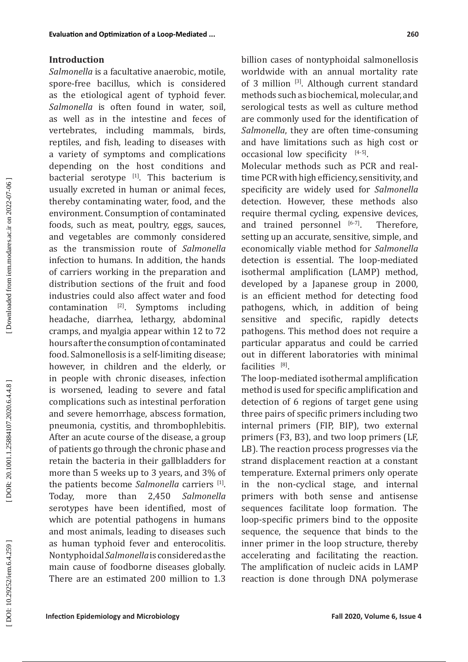## **Introduction**

*Salmonella* is a facultative anaerobic, motile, spore-free bacillus, which is considered as the etiological agent of typhoid fever. *Salmonella* is often found in water, soil, as well as in the intestine and feces of vertebrates, including mammals, birds, reptiles, and fish, leading to diseases with a variety of symptoms and complications depending on the host conditions and bacterial serotype  $[1]$ . This bacterium is usually excreted in human or animal feces, thereby contaminating water, food, and the environment. Consumption of contaminated foods, such as meat, poultry, eggs, sauces, and vegetables are commonly considered as the transmission route of *Salmonella* infection to humans. In addition, the hands of carriers working in the preparation and distribution sections of the fruit and food industries could also affect water and food contamination  $[2]$ . Symptoms including headache, diarrhea, lethargy, abdominal cramps, and myalgia appear within 12 to 72 hours after the consumption of contaminated food. Salmonellosis is a self-limiting disease; however, in children and the elderly, or in people with chronic diseases, infection is worsened, leading to severe and fatal complications such as intestinal perforation and severe hemorrhage, abscess formation, pneumonia, cystitis, and thrombophlebitis. After an acute course of the disease, a group of patients go through the chronic phase and retain the bacteria in their gallbladders for more than 5 weeks up to 3 years, and 3% of the patients become Salmonella carriers <sup>[1]</sup>. Today, more than 2,450 *Salmonella* serotypes have been identified, most of which are potential pathogens in humans and most animals, leading to diseases such as human typhoid fever and enterocolitis. Nontyphoidal *Salmonella* is considered as the main cause of foodborne diseases globally. There are an estimated 200 million to 1.3

billion cases of nontyphoidal salmonellosis worldwide with an annual mortality rate of 3 million [3]. Although current standard methods such as biochemical, molecular, and serological tests as well as culture method are commonly used for the identification of *Salmonella*, they are often time-consuming and have limitations such as high cost or occasional low specificity  $[4-5]$ .

Molecular methods such as PCR and realtime PCR with high efficiency, sensitivity, and specificity are widely used for *Salmonella*  detection. However, these methods also require thermal cycling, expensive devices, and trained personnel  $[6-7]$ . Therefore, setting up an accurate, sensitive, simple, and economically viable method for *Salmonella* detection is essential. The loop-mediated isothermal amplification (LAMP) method, developed by a Japanese group in 2000, is an efficient method for detecting food pathogens, which, in addition of being sensitive and specific, rapidly detects pathogens. This method does not require a particular apparatus and could be carried out in different laboratories with minimal facilities  $[8]$ .

The loop-mediated isothermal amplification method is used for specific amplification and detection of 6 regions of target gene using three pairs of specific primers including two internal primers (FIP, BIP), two external primers (F3, B3), and two loop primers (LF, LB). The reaction process progresses via the strand displacement reaction at a constant temperature. External primers only operate in the non-cyclical stage, and internal primers with both sense and antisense sequences facilitate loop formation. The loop-specific primers bind to the opposite sequence, the sequence that binds to the inner primer in the loop structure, thereby accelerating and facilitating the reaction. The amplification of nucleic acids in LAMP reaction is done through DNA polymerase

Downloaded from iem.modares.ac.ir on 2022-07-06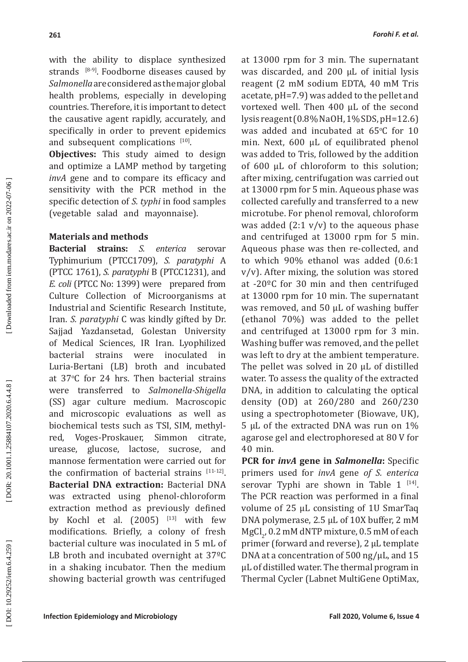with the ability to displace synthesized strands  $[8-9]$ . Foodborne diseases caused by *Salmonella* are considered as the major global health problems, especially in developing countries. Therefore, it is important to detect the causative agent rapidly, accurately, and specifically in order to prevent epidemics and subsequent complications [10].

**Objectives:** This study aimed to design and optimize a LAMP method by targeting *invA* gene and to compare its efficacy and sensitivity with the PCR method in the specific detection of *S. typhi* in food samples (vegetable salad and mayonnaise).

## **Materials and methods**

**Bacterial strains:** *S. enterica* serovar Typhimurium (PTCC1709), *S. paratyphi* A (PTCC 1761), *S. paratyphi* B (PTCC1231), and *E. coli* (PTCC No: 1399) were prepared from Culture Collection of Microorganisms at Industrial and Scientific Research Institute, Iran. *S. paratyphi* C was kindly gifted by Dr. Sajjad Yazdansetad, Golestan University of Medical Sciences, IR Iran. Lyophilized bacterial strains were inoculated in Luria-Bertani (LB) broth and incubated at  $37^{\circ}$ C for 24 hrs. Then bacterial strains were transferred to *Salmonella-Shigella* (SS) agar culture medium. Macroscopic and microscopic evaluations as well as biochemical tests such as TSI, SIM, methylred, Voges-Proskauer, Simmon citrate, urease, glucose, lactose, sucrose, and mannose fermentation were carried out for the confirmation of bacterial strains  $[11-12]$ . **Bacterial DNA extraction:** Bacterial DNA was extracted using phenol-chloroform extraction method as previously defined by Kochl et al. (2005) [13] with few modifications. Briefly, a colony of fresh bacterial culture was inoculated in 5 mL of LB broth and incubated overnight at 37ºC in a shaking incubator. Then the medium showing bacterial growth was centrifuged

at 13000 rpm for 3 min. The supernatant was discarded, and 200 μL of initial lysis reagent (2 mM sodium EDTA, 40 mM Tris acetate, pH=7.9) was added to the pellet and vortexed well. Then 400 μL of the second lysis reagent (0.8% NaOH, 1% SDS, pH=12.6) was added and incubated at  $65^{\circ}$ C for 10 min. Next, 600 μL of equilibrated phenol was added to Tris, followed by the addition of 600 μL of chloroform to this solution; after mixing, centrifugation was carried out at 13000 rpm for 5 min. Aqueous phase was collected carefully and transferred to a new microtube. For phenol removal, chloroform was added  $(2:1 \text{ v/v})$  to the aqueous phase and centrifuged at 13000 rpm for 5 min. Aqueous phase was then re-collected, and to which 90% ethanol was added (0.6:1 v/v). After mixing, the solution was stored at -20ºC for 30 min and then centrifuged at 13000 rpm for 10 min. The supernatant was removed, and 50 μL of washing buffer (ethanol 70%) was added to the pellet and centrifuged at 13000 rpm for 3 min. Washing buffer was removed, and the pellet was left to dry at the ambient temperature. The pellet was solved in 20 μL of distilled water. To assess the quality of the extracted DNA, in addition to calculating the optical density (OD) at 260/280 and 260/230 using a spectrophotometer (Biowave, UK), 5 μL of the extracted DNA was run on 1% agarose gel and electrophoresed at 80 V for 40 min.

**PCR for** *invA* **gene in** *Salmonella***:** Specific primers used for *invA* gene *of S. enterica* serovar Typhi are shown in Table  $1^{[14]}$ . The PCR reaction was performed in a final volume of 25 μL consisting of 1U SmarTaq DNA polymerase, 2.5 μL of 10X buffer, 2 mM  $MgCl<sub>2</sub>$ , 0.2 mM dNTP mixture, 0.5 mM of each 2 primer (forward and reverse), 2 μL template DNA at a concentration of 500 ng/μL, and 15 μL of distilled water. The thermal program in Thermal Cycler (Labnet MultiGene OptiMax,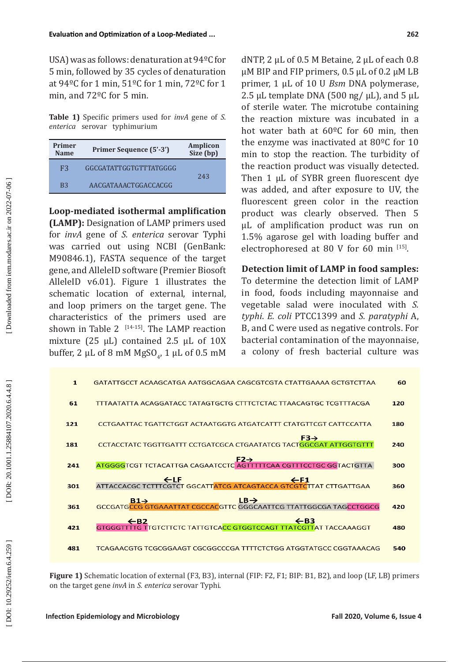USA) was as follows: denaturation at 94ºC for 5 min, followed by 35 cycles of denaturation at 94ºC for 1 min, 51ºC for 1 min, 72ºC for 1 min, and 72ºC for 5 min.

**Table 1)** Specific primers used for *invA* gene of *S*. *enterica* serovar typhimurium

| Primer<br><b>Name</b> | Primer Sequence (5'-3') | Amplicon<br>Size (bp) |
|-----------------------|-------------------------|-----------------------|
| F3                    | GGCGATATTGGTGTTTATGGGG  | 243                   |
| B <sub>3</sub>        | AACGATAAACTGGACCACGG    |                       |

**Loop-mediated isothermal amplification** 

**(LAMP):** Designation of LAMP primers used for *invA* gene of *S. enterica* serovar Typhi was carried out using NCBI (GenBank: M90846.1), FASTA sequence of the target gene, and AlleleID software (Premier Biosoft AlleleID v6.01). Figure 1 illustrates the schematic location of external, internal, and loop primers on the target gene. The characteristics of the primers used are shown in Table 2  $[14-15]$ . The LAMP reaction mixture (25 μL) contained 2.5 μL of 10X buffer, 2  $\mu$ L of 8 mM MgSO<sub>4</sub>, 1  $\mu$ L of 0.5 mM dNTP, 2 μL of 0.5 M Betaine, 2 μL of each 0.8 μM BIP and FIP primers, 0.5 μL of 0.2 μM LB primer, 1 μL of 10 U *Bsm* DNA polymerase, 2.5 μL template DNA (500 ng/  $\mu$ L), and 5  $\mu$ L of sterile water. The microtube containing the reaction mixture was incubated in a hot water bath at 60ºC for 60 min, then the enzyme was inactivated at 80ºC for 10 min to stop the reaction. The turbidity of the reaction product was visually detected. Then 1 μL of SYBR green fluorescent dye was added, and after exposure to UV, the fluorescent green color in the reaction product was clearly observed. Then 5 μL of amplification product was run on 1.5% agarose gel with loading buffer and electrophoresed at 80 V for 60 min  $[15]$ .

# **Detection limit of LAMP in food samples:**

To determine the detection limit of LAMP in food, foods including mayonnaise and vegetable salad were inoculated with *S. typhi*. *E. coli* PTCC1399 and *S. paratyphi* A, B, and C were used as negative controls. For bacterial contamination of the mayonnaise, a colony of fresh bacterial culture was

| $\mathbf{1}$ | GATATTGCCT ACAAGCATGA AATGGCAGAA CAGCGTCGTA CTATTGAAAA GCTGTCTTAA                                       | 60  |
|--------------|---------------------------------------------------------------------------------------------------------|-----|
| 61           | <u>TTTAATATTA ACAGGATACC TATAGTGCTG CTTTCTCTAC TTAACAGTGC TCGTTTACGA</u>                                | 120 |
| 121          | CCTGAATTAC TGATTCTGGT ACTAATGGTG ATGATCATTT CTATGTTCGT CATTCCATTA                                       | 180 |
| 181          | $F3 \rightarrow$<br>CCTACCTATC TGGTTGATTT CCTGATCGCA CTGAATATCG TACT <b>G</b> GCGAT ATTGGTGTTT          | 240 |
| 241          | $E2 \rightarrow$<br>ATGGGGTCGT TCTACATTGA CAGAATCCTC AGTTTTTCAA CGTTTCCTGC GGTACTGTTA                   | 300 |
| 301          | <u>EF1 E</u><br>ATTACCACGC TCTTTCGTCT GGCATT <mark>ATCG ATCAGTACCA GTCGTC</mark> TTAT CTTGATTGAA        | 360 |
| 361          | <b>B1→</b><br>GCCGATGCCG GTGAAATTAT CGCCACGTTC GGGCAATTCG TTATTGGCGA TAGCCTGGCG                         | 420 |
| 421          | $\leftarrow$ B3<br>$\leftarrow$ B2<br>GTGGGTTTTG TTGTCTTCTC TATTGTCACC GTGGTCCAGT TTATCGTTAT TACCAAAGGT | 480 |
| 481          | <u>TCAGAACGTG TCGCGGAAGT CGCGGCCCGA TTTTCTCTGG ATGGTATGCC CGGTAAACAG</u>                                | 540 |

**Figure 1)** Schematic location of external (F3, B3), internal (FIP: F2, F1; BIP: B1, B2), and loop (LF, LB) primers on the target gene *invA* in *S. enterica* serovar Typhi.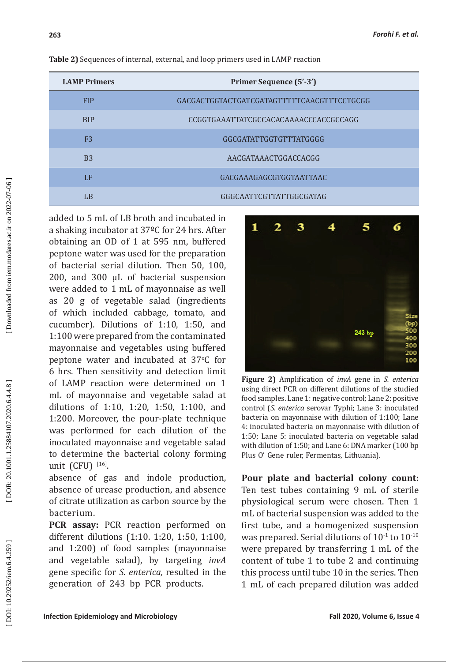| <b>LAMP Primers</b> | Primer Sequence (5'-3')                    |
|---------------------|--------------------------------------------|
| <b>FIP</b>          | GACGACTGGTACTGATCGATAGTTTTTCAACGTTTCCTGCGG |
| <b>BIP</b>          | CCGGTGAAATTATCGCCACACAAAACCCACCGCCAGG      |
| F <sub>3</sub>      | GGCGATATTGGTGTTTATGGGG                     |
| B <sub>3</sub>      | AACGATAAACTGGACCACGG                       |
| LF                  | <b>GACGAAAGAGCGTGGTAATTAAC</b>             |
| LB                  | GGGCAATTCGTTATTGGCGATAG                    |

**Table 2)** Sequences of internal, external, and loop primers used in LAMP reaction

added to 5 mL of LB broth and incubated in a shaking incubator at 37ºC for 24 hrs. After obtaining an OD of 1 at 595 nm, buffered peptone water was used for the preparation of bacterial serial dilution. Then 50, 100, 200, and 300 μL of bacterial suspension were added to 1 mL of mayonnaise as well as 20 g of vegetable salad (ingredients of which included cabbage, tomato, and cucumber). Dilutions of 1:10, 1:50, and 1:100 were prepared from the contaminated mayonnaise and vegetables using buffered peptone water and incubated at  $37^{\circ}$ C for 6 hrs. Then sensitivity and detection limit of LAMP reaction were determined on 1 mL of mayonnaise and vegetable salad at dilutions of 1:10, 1:20, 1:50, 1:100, and 1:200. Moreover, the pour-plate technique was performed for each dilution of the inoculated mayonnaise and vegetable salad to determine the bacterial colony forming unit (CFU) [16].

absence of gas and indole production, absence of urease production, and absence of citrate utilization as carbon source by the bacterium.

**PCR assay:** PCR reaction performed on different dilutions (1:10. 1:20, 1:50, 1:100, and 1:200) of food samples (mayonnaise and vegetable salad), by targeting *invA* gene specific for *S. enterica,* resulted in the generation of 243 bp PCR products.



**Figure 2)** Amplification of *invA* gene in *S. enterica* using direct PCR on different dilutions of the studied food samples. Lane 1: negative control; Lane 2: positive control ( *S*. *enterica* serovar Typhi; Lane 3: inoculated bacteria on mayonnaise with dilution of 1:100; Lane 4: inoculated bacteria on mayonnaise with dilution of 1:50; Lane 5: inoculated bacteria on vegetable salad with dilution of 1:50; and Lane 6: DNA marker (100 bp Plus O' Gene ruler, Fermentas, Lithuania).

**Pour plate and bacterial colony count:**  Ten test tubes containing 9 mL of sterile physiological serum were chosen. Then 1 mL of bacterial suspension was added to the first tube, and a homogenized suspension was prepared. Serial dilutions of  $10^{-1}$  to  $10^{-10}$ were prepared by transferring 1 mL of the content of tube 1 to tube 2 and continuing this process until tube 10 in the series. Then 1 mL of each prepared dilution was added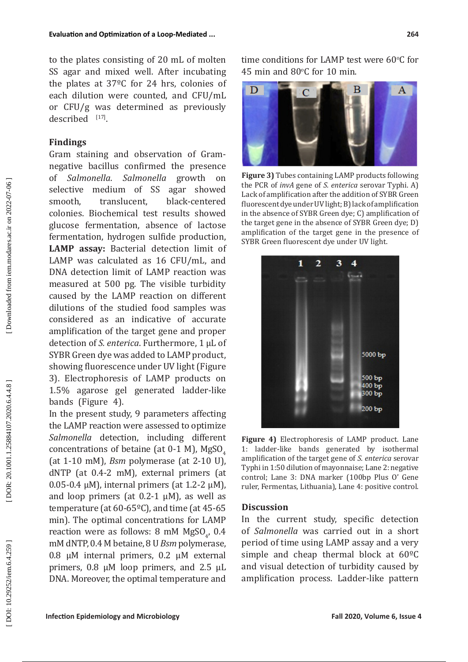to the plates consisting of 20 mL of molten SS agar and mixed well. After incubating the plates at 37ºC for 24 hrs, colonies of each dilution were counted, and CFU/mL or CFU/g was determined as previously  $described$ <sup>[17]</sup>.

## **Findings**

Gram staining and observation of Gramnegative bacillus confirmed the presence<br>of Salmonella. Salmonella growth on of *Salmonella*. *Salmonella* selective medium of SS agar showed<br>smooth, translucent, black-centered black-centered colonies. Biochemical test results showed glucose fermentation, absence of lactose fermentation, hydrogen sulfide production, **LAMP assay:** Bacterial detection limit of LAMP was calculated as 16 CFU/mL, and DNA detection limit of LAMP reaction was measured at 500 pg. The visible turbidity caused by the LAMP reaction on different dilutions of the studied food samples was considered as an indicative of accurate amplification of the target gene and proper detection of *S. enterica*. Furthermore, 1 μL of SYBR Green dye was added to LAMP product, showing fluorescence under UV light (Figure 3). Electrophoresis of LAMP products on 1.5% agarose gel generated ladder-like bands (Figure 4).

In the present study, 9 parameters affecting the LAMP reaction were assessed to optimize *Salmonella* detection, including different concentrations of betaine (at 0-1 M), MgSO 4 (at 1-10 mM), *Bsm* polymerase (at 2-10 U), dNTP (at 0.4-2 mM), external primers (at 0.05-0.4 μM), internal primers (at 1.2-2 μM), and loop primers (at 0.2-1 μM), as well as temperature (at 60-65ºC), and time (at 45-65 min). The optimal concentrations for LAMP reaction were as follows: 8 mM MgSO<sub>4</sub>, 0.4 4 mM dNTP, 0.4 M betaine, 8 U *Bsm* polymerase, 0.8 μM internal primers, 0.2 μM external primers, 0.8 μM loop primers, and 2.5 μL DNA. Moreover, the optimal temperature and

time conditions for LAMP test were  $60^{\circ}$ C for 45 min and  $80^{\circ}$ C for 10 min.



**Figure 3)** Tubes containing LAMP products following the PCR of *invA* gene of *S. enterica* serovar Typhi. A) Lack of amplification after the addition of SYBR Green fluorescent dye under UV light; B) lack of amplification in the absence of SYBR Green dye; C) amplification of the target gene in the absence of SYBR Green dye; D) amplification of the target gene in the presence of SYBR Green fluorescent dye under UV light.



**Figure 4)** Electrophoresis of LAMP product. Lane 1: ladder-like bands generated by isothermal amplification of the target gene of *S. enterica* serovar Typhi in 1:50 dilution of mayonnaise; Lane 2: negative control; Lane 3: DNA marker (100bp Plus O' Gene ruler, Fermentas, Lithuania), Lane 4: positive control.

## **Discussion**

In the current study, specific detection of *Salmonella* was carried out in a short period of time using LAMP assay and a very simple and cheap thermal block at 60ºC and visual detection of turbidity caused by amplification process. Ladder-like pattern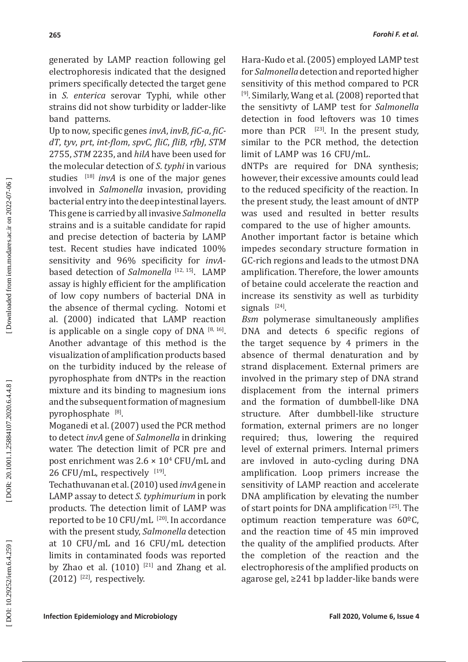generated by LAMP reaction following gel electrophoresis indicated that the designed primers specifically detected the target gene in *S. enterica* serovar Typhi, while other strains did not show turbidity or ladder-like band patterns.

Up to now, specific genes *invA*, *invB*, *fiC-a*, *fiCdT*, *tyv*, *prt*, *int-flom*, *spvC*, *fliC*, *fliB*, *rfbJ*, *STM* 2755, *STM* 2235, and *hilA* have been used for the molecular detection of *S*. *typhi* in various studies <sup>[18]</sup> *invA* is one of the major genes involved in *Salmonella* invasion, providing bacterial entry into the deep intestinal layers. This gene is carried by all invasive *Salmonella* strains and is a suitable candidate for rapid and precise detection of bacteria by LAMP test. Recent studies have indicated 100% sensitivity and 96% specificity for *invA* based detection of *Salmonella*<sup>[12, 15]</sup>. LAMP assay is highly efficient for the amplification of low copy numbers of bacterial DNA in the absence of thermal cycling. Notomi et al. (2000) indicated that LAMP reaction is applicable on a single copy of DNA  $[8, 16]$ . Another advantage of this method is the visualization of amplification products based on the turbidity induced by the release of pyrophosphate from dNTPs in the reaction mixture and its binding to magnesium ions and the subsequent formation of magnesium pyrophosphate [8].

Moganedi et al. (2007) used the PCR method to detect *invA* gene of *Salmonella* in drinking water. The detection limit of PCR pre and post enrichment was 2.6 × 10 4 CFU/mL and 26 CFU/mL, respectively [19].

Techathuvanan et al. (2010) used *invA* gene in LAMP assay to detect *S. typhimurium* in pork products. The detection limit of LAMP was reported to be 10 CFU/mL [20]. In accordance with the present study, *Salmonella* detection at 10 CFU/mL and 16 CFU/mL detection limits in contaminated foods was reported by Zhao et al.  $(1010)$  <sup>[21]</sup> and Zhang et al.  $(2012)$ <sup>[22]</sup>, respectively.

Hara-Kudo et al. (2005) employed LAMP test for *Salmonella* detection and reported higher sensitivity of this method compared to PCR  $[9]$ . Similarly, Wang et al. (2008) reported that the sensitivty of LAMP test for *Salmonella* detection in food leftovers was 10 times more than PCR  $[23]$ . In the present study, similar to the PCR method, the detection limit of LAMP was 16 CFU/mL.

dNTPs are required for DNA synthesis; however, their excessive amounts could lead to the reduced specificity of the reaction. In the present study, the least amount of dNTP was used and resulted in better results compared to the use of higher amounts.

Another important factor is betaine which impedes secondary structure formation in GC-rich regions and leads to the utmost DNA amplification. Therefore, the lower amounts of betaine could accelerate the reaction and increase its senstivity as well as turbidity signals  $[24]$ .

*Bsm* polymerase simultaneously amplifies DNA and detects 6 specific regions of the target sequence by 4 primers in the absence of thermal denaturation and by strand displacement. External primers are involved in the primary step of DNA strand displacement from the internal primers and the formation of dumbbell-like DNA structure. After dumbbell-like structure formation, external primers are no longer required; thus, lowering the required level of external primers. Internal primers are invloved in auto-cycling during DNA amplification. Loop primers increase the sensitivity of LAMP reaction and accelerate DNA amplification by elevating the number of start points for DNA amplification [25]. The optimum reaction temperature was 60ºC, and the reaction time of 45 min improved the quality of the amplified products. After the completion of the reaction and the electrophoresis of the amplified products on agarose gel, ≥241 bp ladder-like bands were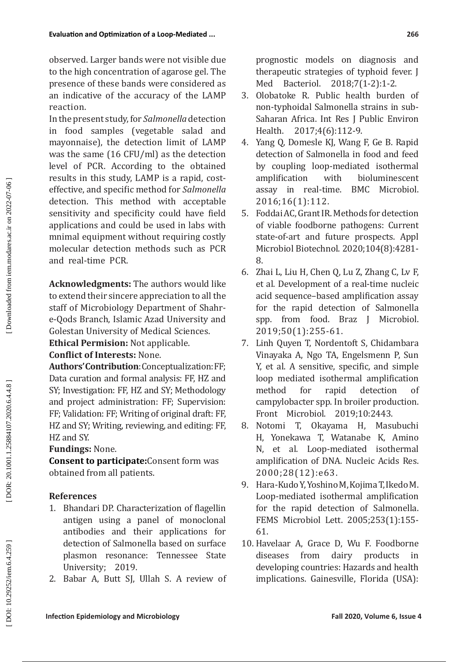In the present study, for *Salmonella* detection in food samples (vegetable salad and mayonnaise), the detection limit of LAMP was the same (16 CFU/ml) as the detection level of PCR. According to the obtained results in this study, LAMP is a rapid, costeffective, and specific method for *Salmonella* detection. This method with acceptable sensitivity and specificity could have field applications and could be used in labs with mnimal equipment without requiring costly molecular detection methods such as PCR and real-time PCR.

**Acknowledgments:** The authors would like to extend their sincere appreciation to all the staff of Microbiology Department of Shahre-Qods Branch, Islamic Azad University and Golestan University of Medical Sciences.

**Ethical Permision:** Not applicable.

# **Conflict of Interests:** None.

**Authors' Contribution**: Conceptualization: FF; Data curation and formal analysis: FF, HZ and SY; Investigation: FF, HZ and SY; Methodology and project administration: FF; Supervision: FF; Validation: FF; Writing of original draft: FF, HZ and SY; Writing, reviewing, and editing: FF, HZ and SY.

# **Fundings:** None.

**Consent to participate:**Consent form was obtained from all patients.

# **References**

- 1. Bhandari DP. Characterization of flagellin antigen using a panel of monoclonal antibodies and their applications for detection of Salmonella based on surface plasmon resonance: Tennessee State University; 2019.
- 2. Babar A, Butt SJ, Ullah S. A review of

prognostic models on diagnosis and therapeutic strategies of typhoid fever. J Med Bacteriol. 2018;7(1-2):1-2.

- 3. Olobatoke R. Public health burden of non-typhoidal Salmonella strains in sub-Saharan Africa. Int Res J Public Environ Health. 2017;4(6):112-9.
- 4. Yang Q, Domesle KJ, Wang F, Ge B. Rapid detection of Salmonella in food and feed by coupling loop-mediated isothermal<br>amplification with bioluminescent bioluminescent assay in real-time. BMC Microbiol. 2016;16(1):112.
- 5. Foddai AC, Grant IR. Methods for detection of viable foodborne pathogens: Current state-of-art and future prospects. Appl Microbiol Biotechnol. 2020;104(8):4281- 8.
- 6. Zhai L, Liu H, Chen Q, Lu Z, Zhang C, Lv F, et al. Development of a real-time nucleic acid sequence–based amplification assay for the rapid detection of Salmonella spp. from food. Braz J Microbiol. 2019;50(1):255-61.
- 7. Linh Quyen T, Nordentoft S, Chidambara Vinayaka A, Ngo TA, Engelsmenn P, Sun Y, et al. A sensitive, specific, and simple loop mediated isothermal amplification method for rapid detection of campylobacter spp. In broiler production. Front Microbiol. 2019;10:2443.
- 8. Notomi T, Okayama H, Masubuchi H, Yonekawa T, Watanabe K, Amino N, et al. Loop-mediated isothermal amplification of DNA. Nucleic Acids Res. 2000;28(12):e63.
- 9. Hara-Kudo Y, Yoshino M, Kojima T, Ikedo M. Loop-mediated isothermal amplification for the rapid detection of Salmonella. FEMS Microbiol Lett. 2005;253(1):155- 61.
- 10. Havelaar A, Grace D, Wu F. Foodborne products in developing countries: Hazards and health implications. Gainesville, Florida (USA):